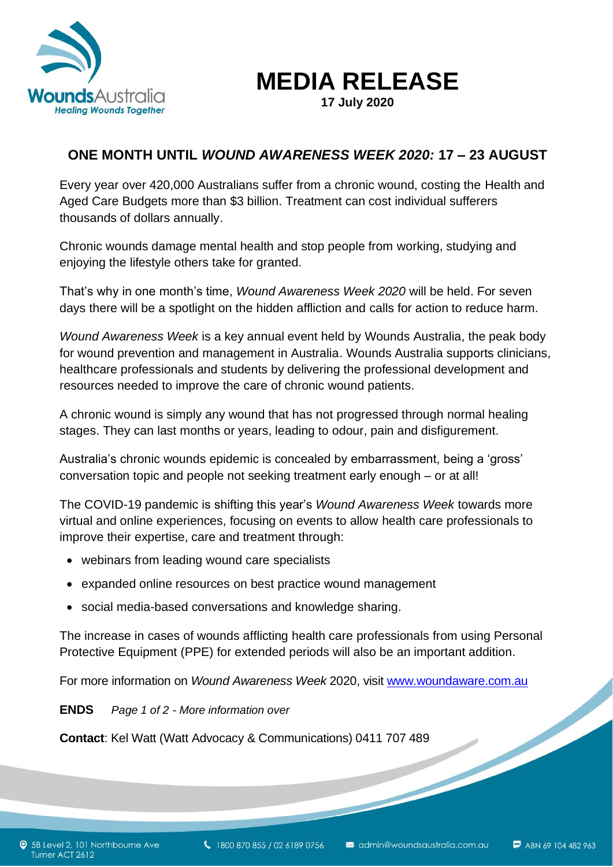

**MEDIA RELEASE**

**17 July 2020**

## **ONE MONTH UNTIL** *WOUND AWARENESS WEEK 2020:* **17 – 23 AUGUST**

Every year over 420,000 Australians suffer from a chronic wound, costing the Health and Aged Care Budgets more than \$3 billion. Treatment can cost individual sufferers thousands of dollars annually.

Chronic wounds damage mental health and stop people from working, studying and enjoying the lifestyle others take for granted.

That's why in one month's time, *Wound Awareness Week 2020* will be held. For seven days there will be a spotlight on the hidden affliction and calls for action to reduce harm.

*Wound Awareness Week* is a key annual event held by Wounds Australia, the peak body for wound prevention and management in Australia. Wounds Australia supports clinicians, healthcare professionals and students by delivering the professional development and resources needed to improve the care of chronic wound patients.

A chronic wound is simply any wound that has not progressed through normal healing stages. They can last months or years, leading to odour, pain and disfigurement.

Australia's chronic wounds epidemic is concealed by embarrassment, being a 'gross' conversation topic and people not seeking treatment early enough – or at all!

The COVID-19 pandemic is shifting this year's *Wound Awareness Week* towards more virtual and online experiences, focusing on events to allow health care professionals to improve their expertise, care and treatment through:

- webinars from leading wound care specialists
- expanded online resources on best practice wound management
- social media-based conversations and knowledge sharing.

The increase in cases of wounds afflicting health care professionals from using Personal Protective Equipment (PPE) for extended periods will also be an important addition.

For more information on *Wound Awareness Week* 2020, visit [www.woundaware.com.au](http://www.woundaware.com.au/)<br> **ENDS** Page 1 of 2 - More information over<br> **Contact**: Kel Watt (Watt Advocacy & Communications) 0411 707 489

**ENDS** *Page 1 of 2 - More information over*

**Contact**: Kel Watt (Watt Advocacy & Communications) 0411 707 489